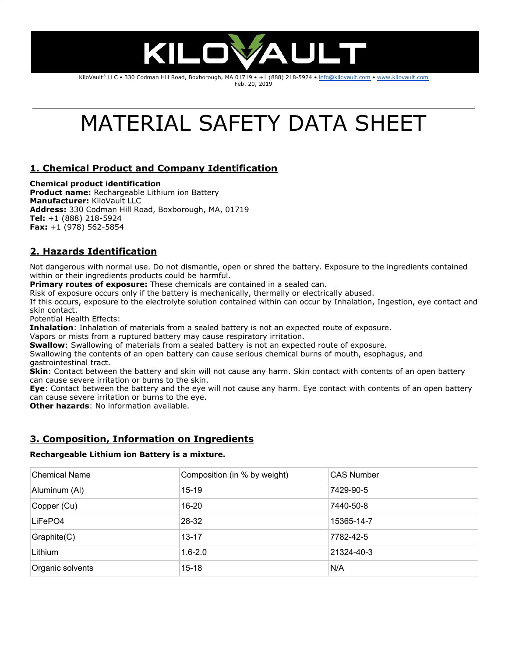

KiloVault® LLC • 330 Codman Hill Road, Boxborough, MA 01719 • +1 (888) 218-5924 • [info@kilovault.com](mailto:info@kilovault.com) • [www.kilovault.com](http://www.kilovault.com/) Feb. 20, 2019

# MATERIAL SAFETY DATA SHEET

# **1. Chemical Product and Company Identification**

#### **Chemical product identification**

**Product name:** Rechargeable Lithium ion Battery **Manufacturer:** KiloVault LLC **Address:** 330 Codman Hill Road, Boxborough, MA, 01719 **Tel:** +1 (888) 218-5924 **Fax:** +1 (978) 562-5854

# **2. Hazards Identification**

Not dangerous with normal use. Do not dismantle, open or shred the battery. Exposure to the ingredients contained within or their ingredients products could be harmful.

**Primary routes of exposure:** These chemicals are contained in a sealed can.

Risk of exposure occurs only if the battery is mechanically, thermally or electrically abused.

If this occurs, exposure to the electrolyte solution contained within can occur by Inhalation, Ingestion, eye contact and skin contact.

Potential Health Effects:

**Inhalation**: Inhalation of materials from a sealed battery is not an expected route of exposure.

Vapors or mists from a ruptured battery may cause respiratory irritation.

**Swallow**: Swallowing of materials from a sealed battery is not an expected route of exposure.

Swallowing the contents of an open battery can cause serious chemical burns of mouth, esophagus, and gastrointestinal tract.

**Skin**: Contact between the battery and skin will not cause any harm. Skin contact with contents of an open battery can cause severe irritation or burns to the skin.

**Eye**: Contact between the battery and the eye will not cause any harm. Eye contact with contents of an open battery can cause severe irritation or burns to the eye.

**Other hazards**: No information available.

## **3. Composition, Information on Ingredients**

#### **Rechargeable Lithium ion Battery is a mixture.**

| <b>Chemical Name</b> | Composition (in % by weight) | <b>CAS Number</b> |  |
|----------------------|------------------------------|-------------------|--|
| Aluminum (AI)        | $15 - 19$                    | 7429-90-5         |  |
| Copper (Cu)          | $16 - 20$                    | 7440-50-8         |  |
| LiFePO4              | 28-32                        | 15365-14-7        |  |
| Graphite(C)          | $13 - 17$                    | 7782-42-5         |  |
| Lithium              | $1.6 - 2.0$                  | 21324-40-3        |  |
| Organic solvents     | $15 - 18$                    | N/A               |  |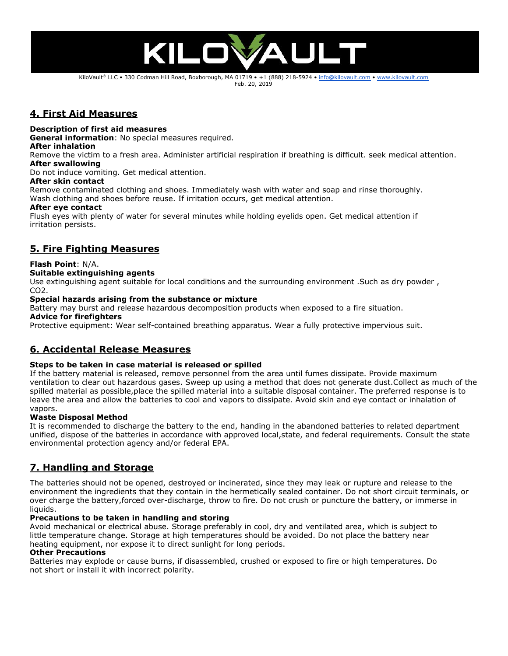

KiloVault® LLC • 330 Codman Hill Road, Boxborough, MA 01719 • +1 (888) 218-5924 • [info@kilovault.com](mailto:info@kilovault.com) • [www.kilovault.com](http://www.kilovault.com/) Feb. 20, 2019

## **4. First Aid Measures**

#### **Description of first aid measures**

**General information**: No special measures required.

#### **After inhalation**

Remove the victim to a fresh area. Administer artificial respiration if breathing is difficult. seek medical attention. **After swallowing**

Do not induce vomiting. Get medical attention.

#### **After skin contact**

Remove contaminated clothing and shoes. Immediately wash with water and soap and rinse thoroughly. Wash clothing and shoes before reuse. If irritation occurs, get medical attention.

#### **After eye contact**

Flush eyes with plenty of water for several minutes while holding eyelids open. Get medical attention if irritation persists.

## **5. Fire Fighting Measures**

#### **Flash Point**: N/A.

#### **Suitable extinguishing agents**

Use extinguishing agent suitable for local conditions and the surrounding environment .Such as dry powder , CO2.

#### **Special hazards arising from the substance or mixture**

Battery may burst and release hazardous decomposition products when exposed to a fire situation.

#### **Advice for firefighters**

Protective equipment: Wear self-contained breathing apparatus. Wear a fully protective impervious suit.

### **6. Accidental Release Measures**

#### **Steps to be taken in case material is released or spilled**

If the battery material is released, remove personnel from the area until fumes dissipate. Provide maximum ventilation to clear out hazardous gases. Sweep up using a method that does not generate dust.Collect as much of the spilled material as possible,place the spilled material into a suitable disposal container. The preferred response is to leave the area and allow the batteries to cool and vapors to dissipate. Avoid skin and eye contact or inhalation of vapors.

#### **Waste Disposal Method**

It is recommended to discharge the battery to the end, handing in the abandoned batteries to related department unified, dispose of the batteries in accordance with approved local,state, and federal requirements. Consult the state environmental protection agency and/or federal EPA.

## **7. Handling and Storage**

The batteries should not be opened, destroyed or incinerated, since they may leak or rupture and release to the environment the ingredients that they contain in the hermetically sealed container. Do not short circuit terminals, or over charge the battery,forced over-discharge, throw to fire. Do not crush or puncture the battery, or immerse in liquids.

#### **Precautions to be taken in handling and storing**

Avoid mechanical or electrical abuse. Storage preferably in cool, dry and ventilated area, which is subject to little temperature change. Storage at high temperatures should be avoided. Do not place the battery near heating equipment, nor expose it to direct sunlight for long periods.

#### **Other Precautions**

Batteries may explode or cause burns, if disassembled, crushed or exposed to fire or high temperatures. Do not short or install it with incorrect polarity.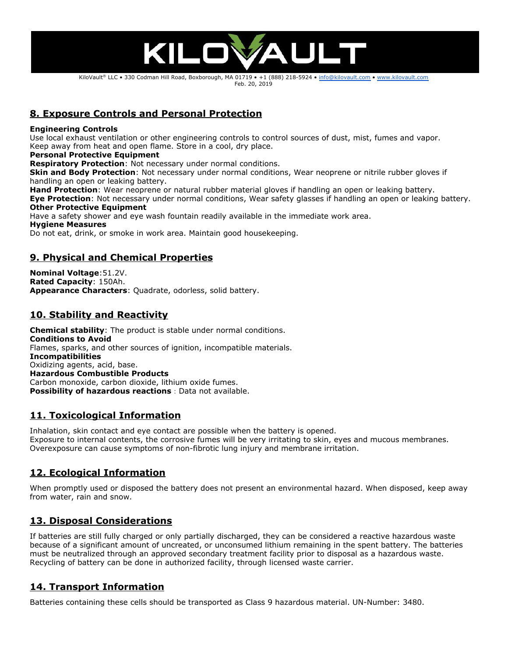

KiloVault® LLC • 330 Codman Hill Road, Boxborough, MA 01719 • +1 (888) 218-5924 • [info@kilovault.com](mailto:info@kilovault.com) • [www.kilovault.com](http://www.kilovault.com/) Feb. 20, 2019

# **8. Exposure Controls and Personal Protection**

#### **Engineering Controls**

Use local exhaust ventilation or other engineering controls to control sources of dust, mist, fumes and vapor. Keep away from heat and open flame. Store in a cool, dry place.

#### **Personal Protective Equipment**

**Respiratory Protection**: Not necessary under normal conditions.

**Skin and Body Protection**: Not necessary under normal conditions, Wear neoprene or nitrile rubber gloves if handling an open or leaking battery.

**Hand Protection**: Wear neoprene or natural rubber material gloves if handling an open or leaking battery.

**Eye Protection**: Not necessary under normal conditions, Wear safety glasses if handling an open or leaking battery. **Other Protective Equipment**

Have a safety shower and eye wash fountain readily available in the immediate work area.

#### **Hygiene Measures**

Do not eat, drink, or smoke in work area. Maintain good housekeeping.

## **9. Physical and Chemical Properties**

**Nominal Voltage**:51.2V. **Rated Capacity**: 150Ah. **Appearance Characters**: Quadrate, odorless, solid battery.

## **10. Stability and Reactivity**

**Chemical stability**: The product is stable under normal conditions. **Conditions to Avoid** Flames, sparks, and other sources of ignition, incompatible materials. **Incompatibilities** Oxidizing agents, acid, base. **Hazardous Combustible Products** Carbon monoxide, carbon dioxide, lithium oxide fumes. **Possibility of hazardous reactions**: Data not available.

## **11. Toxicological Information**

Inhalation, skin contact and eye contact are possible when the battery is opened. Exposure to internal contents, the corrosive fumes will be very irritating to skin, eyes and mucous membranes. Overexposure can cause symptoms of non-fibrotic lung injury and membrane irritation.

## **12. Ecological Information**

When promptly used or disposed the battery does not present an environmental hazard. When disposed, keep away from water, rain and snow.

# **13. Disposal Considerations**

If batteries are still fully charged or only partially discharged, they can be considered a reactive hazardous waste because of a significant amount of uncreated, or unconsumed lithium remaining in the spent battery. The batteries must be neutralized through an approved secondary treatment facility prior to disposal as a hazardous waste. Recycling of battery can be done in authorized facility, through licensed waste carrier.

# **14. Transport Information**

Batteries containing these cells should be transported as Class 9 hazardous material. UN-Number: 3480.